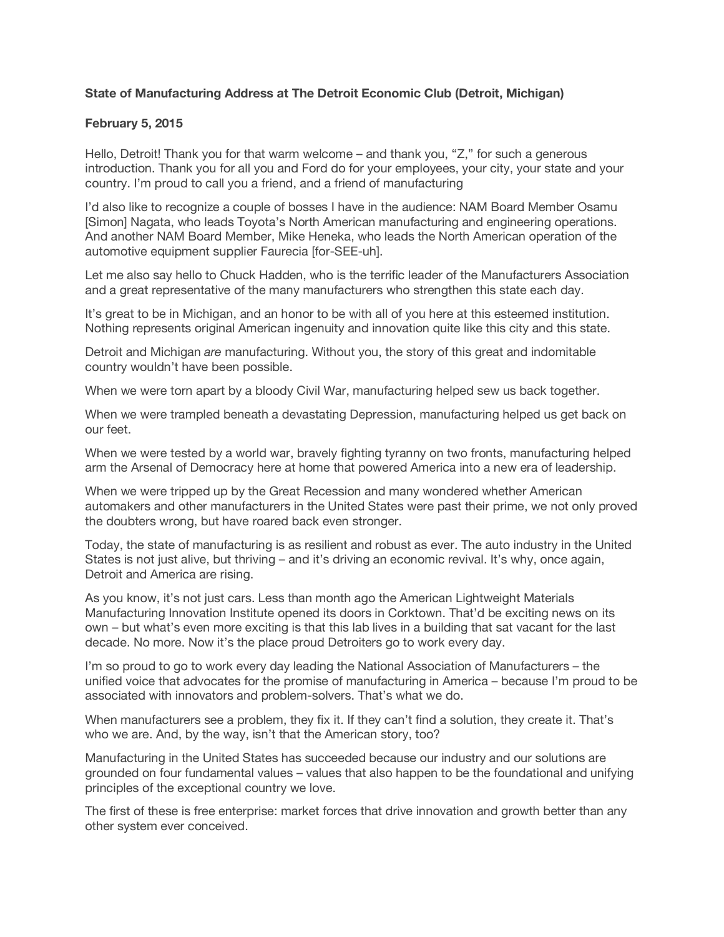## **State of Manufacturing Address at The Detroit Economic Club (Detroit, Michigan)**

## **February 5, 2015**

Hello, Detroit! Thank you for that warm welcome – and thank you, "Z," for such a generous introduction. Thank you for all you and Ford do for your employees, your city, your state and your country. I'm proud to call you a friend, and a friend of manufacturing

I'd also like to recognize a couple of bosses I have in the audience: NAM Board Member Osamu [Simon] Nagata, who leads Toyota's North American manufacturing and engineering operations. And another NAM Board Member, Mike Heneka, who leads the North American operation of the automotive equipment supplier Faurecia [for-SEE-uh].

Let me also say hello to Chuck Hadden, who is the terrific leader of the Manufacturers Association and a great representative of the many manufacturers who strengthen this state each day.

It's great to be in Michigan, and an honor to be with all of you here at this esteemed institution. Nothing represents original American ingenuity and innovation quite like this city and this state.

Detroit and Michigan *are* manufacturing. Without you, the story of this great and indomitable country wouldn't have been possible.

When we were torn apart by a bloody Civil War, manufacturing helped sew us back together.

When we were trampled beneath a devastating Depression, manufacturing helped us get back on our feet.

When we were tested by a world war, bravely fighting tyranny on two fronts, manufacturing helped arm the Arsenal of Democracy here at home that powered America into a new era of leadership.

When we were tripped up by the Great Recession and many wondered whether American automakers and other manufacturers in the United States were past their prime, we not only proved the doubters wrong, but have roared back even stronger.

Today, the state of manufacturing is as resilient and robust as ever. The auto industry in the United States is not just alive, but thriving – and it's driving an economic revival. It's why, once again, Detroit and America are rising.

As you know, it's not just cars. Less than month ago the American Lightweight Materials Manufacturing Innovation Institute opened its doors in Corktown. That'd be exciting news on its own – but what's even more exciting is that this lab lives in a building that sat vacant for the last decade. No more. Now it's the place proud Detroiters go to work every day.

I'm so proud to go to work every day leading the National Association of Manufacturers – the unified voice that advocates for the promise of manufacturing in America – because I'm proud to be associated with innovators and problem-solvers. That's what we do.

When manufacturers see a problem, they fix it. If they can't find a solution, they create it. That's who we are. And, by the way, isn't that the American story, too?

Manufacturing in the United States has succeeded because our industry and our solutions are grounded on four fundamental values – values that also happen to be the foundational and unifying principles of the exceptional country we love.

The first of these is free enterprise: market forces that drive innovation and growth better than any other system ever conceived.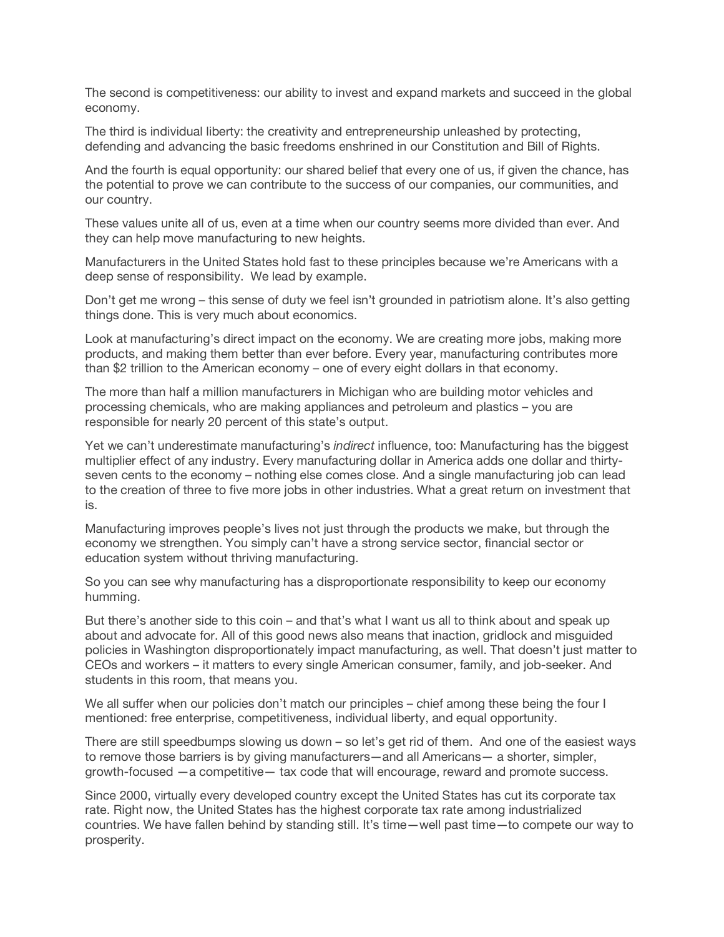The second is competitiveness: our ability to invest and expand markets and succeed in the global economy.

The third is individual liberty: the creativity and entrepreneurship unleashed by protecting, defending and advancing the basic freedoms enshrined in our Constitution and Bill of Rights.

And the fourth is equal opportunity: our shared belief that every one of us, if given the chance, has the potential to prove we can contribute to the success of our companies, our communities, and our country.

These values unite all of us, even at a time when our country seems more divided than ever. And they can help move manufacturing to new heights.

Manufacturers in the United States hold fast to these principles because we're Americans with a deep sense of responsibility. We lead by example.

Don't get me wrong – this sense of duty we feel isn't grounded in patriotism alone. It's also getting things done. This is very much about economics.

Look at manufacturing's direct impact on the economy. We are creating more jobs, making more products, and making them better than ever before. Every year, manufacturing contributes more than \$2 trillion to the American economy – one of every eight dollars in that economy.

The more than half a million manufacturers in Michigan who are building motor vehicles and processing chemicals, who are making appliances and petroleum and plastics – you are responsible for nearly 20 percent of this state's output.

Yet we can't underestimate manufacturing's *indirect* influence, too: Manufacturing has the biggest multiplier effect of any industry. Every manufacturing dollar in America adds one dollar and thirtyseven cents to the economy – nothing else comes close. And a single manufacturing job can lead to the creation of three to five more jobs in other industries. What a great return on investment that is.

Manufacturing improves people's lives not just through the products we make, but through the economy we strengthen. You simply can't have a strong service sector, financial sector or education system without thriving manufacturing.

So you can see why manufacturing has a disproportionate responsibility to keep our economy humming.

But there's another side to this coin – and that's what I want us all to think about and speak up about and advocate for. All of this good news also means that inaction, gridlock and misguided policies in Washington disproportionately impact manufacturing, as well. That doesn't just matter to CEOs and workers – it matters to every single American consumer, family, and job-seeker. And students in this room, that means you.

We all suffer when our policies don't match our principles – chief among these being the four I mentioned: free enterprise, competitiveness, individual liberty, and equal opportunity.

There are still speedbumps slowing us down – so let's get rid of them. And one of the easiest ways to remove those barriers is by giving manufacturers—and all Americans— a shorter, simpler, growth-focused —a competitive— tax code that will encourage, reward and promote success.

Since 2000, virtually every developed country except the United States has cut its corporate tax rate. Right now, the United States has the highest corporate tax rate among industrialized countries. We have fallen behind by standing still. It's time—well past time—to compete our way to prosperity.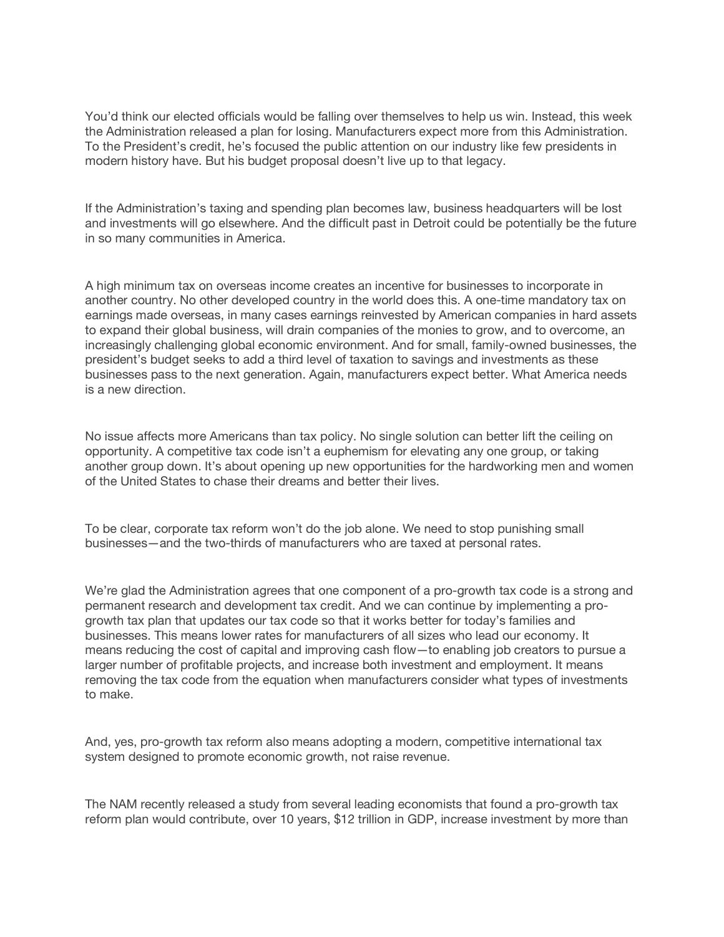You'd think our elected officials would be falling over themselves to help us win. Instead, this week the Administration released a plan for losing. Manufacturers expect more from this Administration. To the President's credit, he's focused the public attention on our industry like few presidents in modern history have. But his budget proposal doesn't live up to that legacy.

If the Administration's taxing and spending plan becomes law, business headquarters will be lost and investments will go elsewhere. And the difficult past in Detroit could be potentially be the future in so many communities in America.

A high minimum tax on overseas income creates an incentive for businesses to incorporate in another country. No other developed country in the world does this. A one-time mandatory tax on earnings made overseas, in many cases earnings reinvested by American companies in hard assets to expand their global business, will drain companies of the monies to grow, and to overcome, an increasingly challenging global economic environment. And for small, family-owned businesses, the president's budget seeks to add a third level of taxation to savings and investments as these businesses pass to the next generation. Again, manufacturers expect better. What America needs is a new direction.

No issue affects more Americans than tax policy. No single solution can better lift the ceiling on opportunity. A competitive tax code isn't a euphemism for elevating any one group, or taking another group down. It's about opening up new opportunities for the hardworking men and women of the United States to chase their dreams and better their lives.

To be clear, corporate tax reform won't do the job alone. We need to stop punishing small businesses—and the two-thirds of manufacturers who are taxed at personal rates.

We're glad the Administration agrees that one component of a pro-growth tax code is a strong and permanent research and development tax credit. And we can continue by implementing a progrowth tax plan that updates our tax code so that it works better for today's families and businesses. This means lower rates for manufacturers of all sizes who lead our economy. It means reducing the cost of capital and improving cash flow—to enabling job creators to pursue a larger number of profitable projects, and increase both investment and employment. It means removing the tax code from the equation when manufacturers consider what types of investments to make.

And, yes, pro-growth tax reform also means adopting a modern, competitive international tax system designed to promote economic growth, not raise revenue.

The NAM recently released a study from several leading economists that found a pro-growth tax reform plan would contribute, over 10 years, \$12 trillion in GDP, increase investment by more than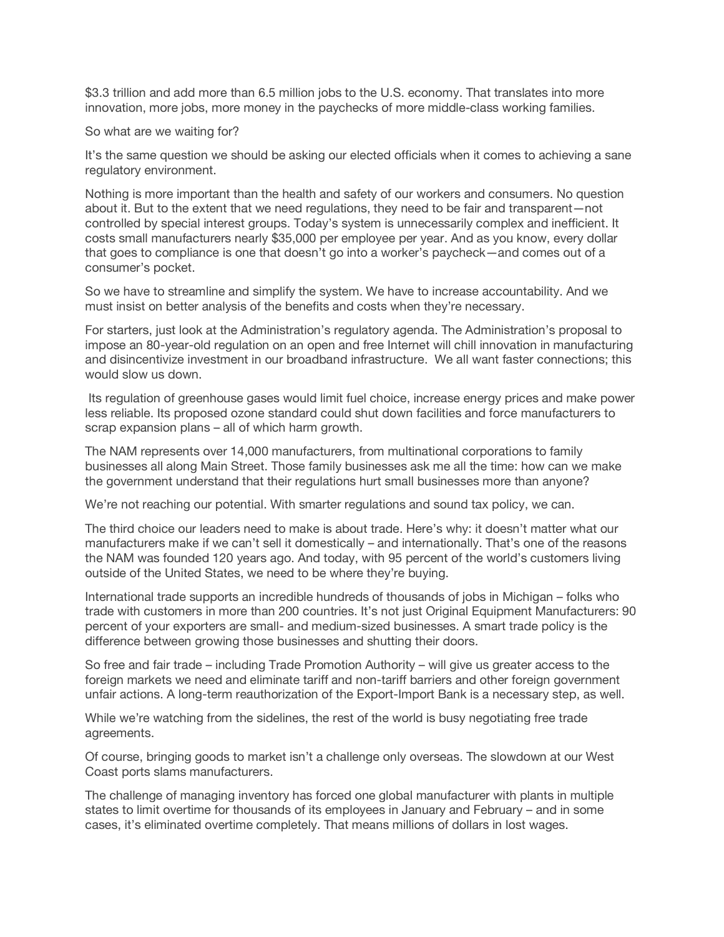\$3.3 trillion and add more than 6.5 million jobs to the U.S. economy. That translates into more innovation, more jobs, more money in the paychecks of more middle-class working families.

So what are we waiting for?

It's the same question we should be asking our elected officials when it comes to achieving a sane regulatory environment.

Nothing is more important than the health and safety of our workers and consumers. No question about it. But to the extent that we need regulations, they need to be fair and transparent—not controlled by special interest groups. Today's system is unnecessarily complex and inefficient. It costs small manufacturers nearly \$35,000 per employee per year. And as you know, every dollar that goes to compliance is one that doesn't go into a worker's paycheck—and comes out of a consumer's pocket.

So we have to streamline and simplify the system. We have to increase accountability. And we must insist on better analysis of the benefits and costs when they're necessary.

For starters, just look at the Administration's regulatory agenda. The Administration's proposal to impose an 80-year-old regulation on an open and free Internet will chill innovation in manufacturing and disincentivize investment in our broadband infrastructure. We all want faster connections; this would slow us down.

 Its regulation of greenhouse gases would limit fuel choice, increase energy prices and make power less reliable. Its proposed ozone standard could shut down facilities and force manufacturers to scrap expansion plans – all of which harm growth.

The NAM represents over 14,000 manufacturers, from multinational corporations to family businesses all along Main Street. Those family businesses ask me all the time: how can we make the government understand that their regulations hurt small businesses more than anyone?

We're not reaching our potential. With smarter regulations and sound tax policy, we can.

The third choice our leaders need to make is about trade. Here's why: it doesn't matter what our manufacturers make if we can't sell it domestically – and internationally. That's one of the reasons the NAM was founded 120 years ago. And today, with 95 percent of the world's customers living outside of the United States, we need to be where they're buying.

International trade supports an incredible hundreds of thousands of jobs in Michigan – folks who trade with customers in more than 200 countries. It's not just Original Equipment Manufacturers: 90 percent of your exporters are small- and medium-sized businesses. A smart trade policy is the difference between growing those businesses and shutting their doors.

So free and fair trade – including Trade Promotion Authority – will give us greater access to the foreign markets we need and eliminate tariff and non-tariff barriers and other foreign government unfair actions. A long-term reauthorization of the Export-Import Bank is a necessary step, as well.

While we're watching from the sidelines, the rest of the world is busy negotiating free trade agreements.

Of course, bringing goods to market isn't a challenge only overseas. The slowdown at our West Coast ports slams manufacturers.

The challenge of managing inventory has forced one global manufacturer with plants in multiple states to limit overtime for thousands of its employees in January and February – and in some cases, it's eliminated overtime completely. That means millions of dollars in lost wages.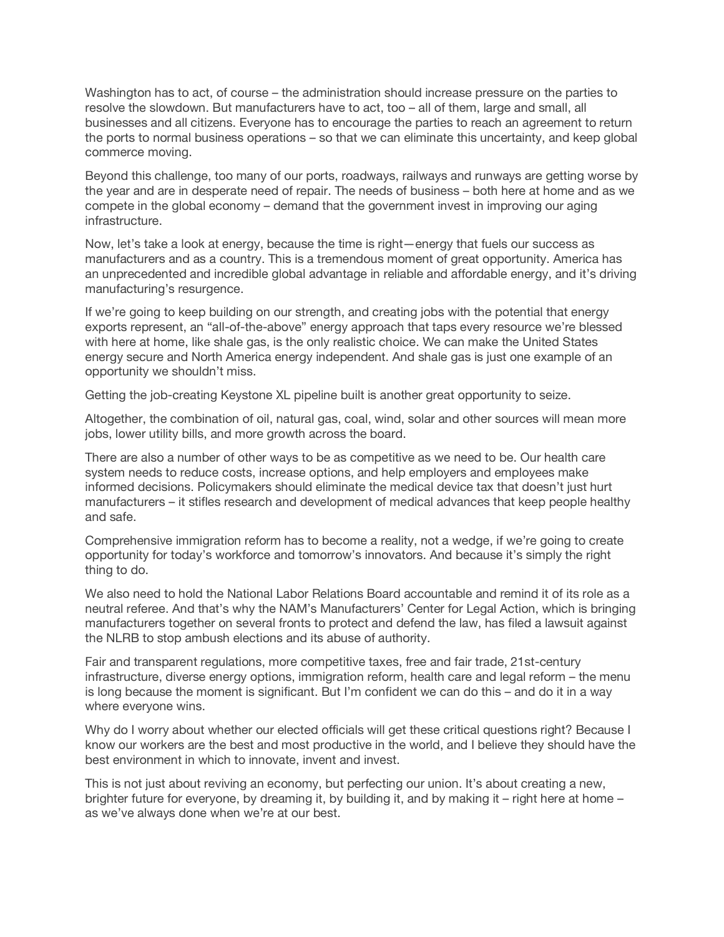Washington has to act, of course – the administration should increase pressure on the parties to resolve the slowdown. But manufacturers have to act, too – all of them, large and small, all businesses and all citizens. Everyone has to encourage the parties to reach an agreement to return the ports to normal business operations – so that we can eliminate this uncertainty, and keep global commerce moving.

Beyond this challenge, too many of our ports, roadways, railways and runways are getting worse by the year and are in desperate need of repair. The needs of business – both here at home and as we compete in the global economy – demand that the government invest in improving our aging infrastructure.

Now, let's take a look at energy, because the time is right—energy that fuels our success as manufacturers and as a country. This is a tremendous moment of great opportunity. America has an unprecedented and incredible global advantage in reliable and affordable energy, and it's driving manufacturing's resurgence.

If we're going to keep building on our strength, and creating jobs with the potential that energy exports represent, an "all-of-the-above" energy approach that taps every resource we're blessed with here at home, like shale gas, is the only realistic choice. We can make the United States energy secure and North America energy independent. And shale gas is just one example of an opportunity we shouldn't miss.

Getting the job-creating Keystone XL pipeline built is another great opportunity to seize.

Altogether, the combination of oil, natural gas, coal, wind, solar and other sources will mean more jobs, lower utility bills, and more growth across the board.

There are also a number of other ways to be as competitive as we need to be. Our health care system needs to reduce costs, increase options, and help employers and employees make informed decisions. Policymakers should eliminate the medical device tax that doesn't just hurt manufacturers – it stifles research and development of medical advances that keep people healthy and safe.

Comprehensive immigration reform has to become a reality, not a wedge, if we're going to create opportunity for today's workforce and tomorrow's innovators. And because it's simply the right thing to do.

We also need to hold the National Labor Relations Board accountable and remind it of its role as a neutral referee. And that's why the NAM's Manufacturers' Center for Legal Action, which is bringing manufacturers together on several fronts to protect and defend the law, has filed a lawsuit against the NLRB to stop ambush elections and its abuse of authority.

Fair and transparent regulations, more competitive taxes, free and fair trade, 21st-century infrastructure, diverse energy options, immigration reform, health care and legal reform – the menu is long because the moment is significant. But I'm confident we can do this – and do it in a way where everyone wins.

Why do I worry about whether our elected officials will get these critical questions right? Because I know our workers are the best and most productive in the world, and I believe they should have the best environment in which to innovate, invent and invest.

This is not just about reviving an economy, but perfecting our union. It's about creating a new, brighter future for everyone, by dreaming it, by building it, and by making it – right here at home – as we've always done when we're at our best.